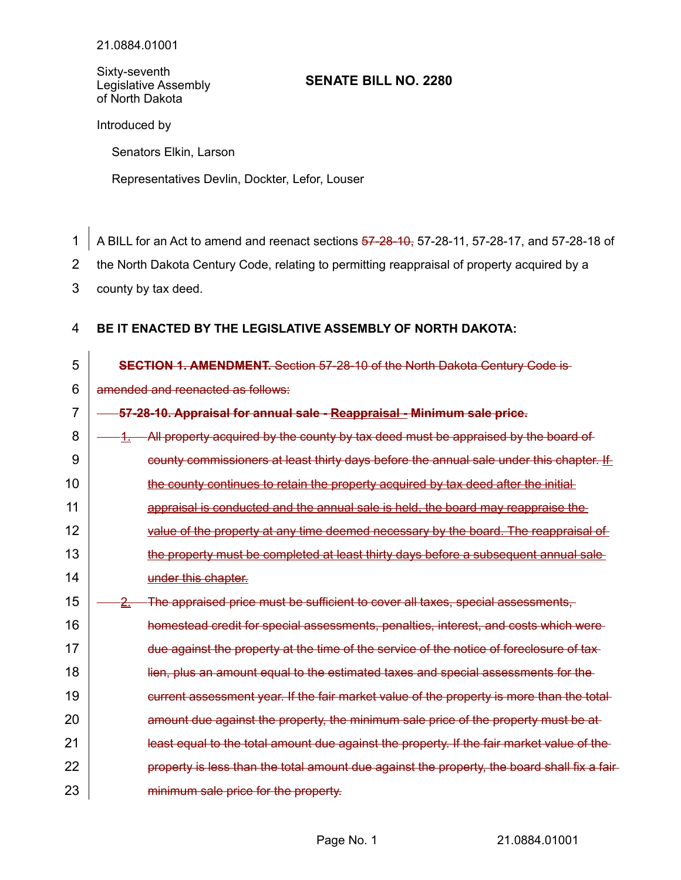Sixty-seventh Legislative Assembly of North Dakota

## **SENATE BILL NO. 2280**

Introduced by

Senators Elkin, Larson

Representatives Devlin, Dockter, Lefor, Louser

A BILL for an Act to amend and reenact sections 57-28-10, 57-28-11, 57-28-17, and 57-28-18 of 1

the North Dakota Century Code, relating to permitting reappraisal of property acquired by a 2

county by tax deed. 3

#### **BE IT ENACTED BY THE LEGISLATIVE ASSEMBLY OF NORTH DAKOTA:** 4

| 5  | <b>SECTION 1. AMENDMENT.</b> Section 57-28-10 of the North Dakota Century Code is-             |
|----|------------------------------------------------------------------------------------------------|
| 6  | amended and reenacted as follows:                                                              |
| 7  | 57-28-10. Appraisal for annual sale - Reappraisal - Minimum sale price.                        |
| 8  | All property acquired by the county by tax deed must be appraised by the board of<br>4.        |
| 9  | county commissioners at least thirty days before the annual sale under this chapter. If        |
| 10 | the county continues to retain the property acquired by tax deed after the initial-            |
| 11 | appraisal is conducted and the annual sale is held, the board may reappraise the               |
| 12 | value of the property at any time deemed necessary by the board. The reappraisal of            |
| 13 | the property must be completed at least thirty days before a subsequent annual sale            |
| 14 | under this chapter.                                                                            |
| 15 | The appraised price must be sufficient to cover all taxes, special assessments,<br><u>-2. </u> |
| 16 | homestead credit for special assessments, penalties, interest, and costs which were            |
| 17 | due against the property at the time of the service of the notice of foreclosure of tax        |
| 18 | lien, plus an amount equal to the estimated taxes and special assessments for the              |
| 19 | current assessment year. If the fair market value of the property is more than the total-      |
| 20 | amount due against the property, the minimum sale price of the property must be at             |
| 21 | least equal to the total amount due against the property. If the fair market value of the      |
| 22 | property is less than the total amount due against the property, the board shall fix a fair    |
| 23 | minimum sale price for the property.                                                           |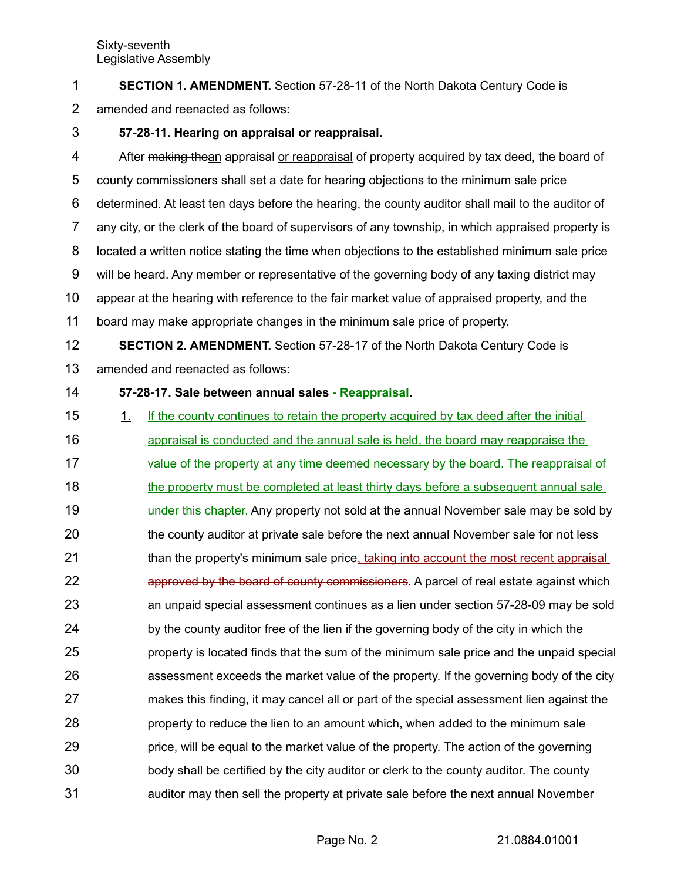Sixty-seventh Legislative Assembly

**SECTION 1. AMENDMENT.** Section 57-28-11 of the North Dakota Century Code is 1

amended and reenacted as follows: 2

### **57-28-11. Hearing on appraisal or reappraisal.** 3

After making thean appraisal or reappraisal of property acquired by tax deed, the board of county commissioners shall set a date for hearing objections to the minimum sale price determined. At least ten days before the hearing, the county auditor shall mail to the auditor of any city, or the clerk of the board of supervisors of any township, in which appraised property is located a written notice stating the time when objections to the established minimum sale price will be heard. Any member or representative of the governing body of any taxing district may appear at the hearing with reference to the fair market value of appraised property, and the board may make appropriate changes in the minimum sale price of property. 4 5 6 7 8 9 10 11

**SECTION 2. AMENDMENT.** Section 57-28-17 of the North Dakota Century Code is amended and reenacted as follows: 12 13

14

# **57-28-17. Sale between annual sales - Reappraisal.**

1. If the county continues to retain the property acquired by tax deed after the initial appraisal is conducted and the annual sale is held, the board may reappraise the value of the property at any time deemed necessary by the board. The reappraisal of the property must be completed at least thirty days before a subsequent annual sale under this chapter. Any property not sold at the annual November sale may be sold by the county auditor at private sale before the next annual November sale for not less than the property's minimum sale price, taking into account the most recent appraisal approved by the board of county commissioners. A parcel of real estate against which an unpaid special assessment continues as a lien under section 57-28-09 may be sold by the county auditor free of the lien if the governing body of the city in which the property is located finds that the sum of the minimum sale price and the unpaid special assessment exceeds the market value of the property. If the governing body of the city makes this finding, it may cancel all or part of the special assessment lien against the property to reduce the lien to an amount which, when added to the minimum sale price, will be equal to the market value of the property. The action of the governing body shall be certified by the city auditor or clerk to the county auditor. The county auditor may then sell the property at private sale before the next annual November 15 16 17 18 19 20 21 22 23 24 25 26 27 28 29 30 31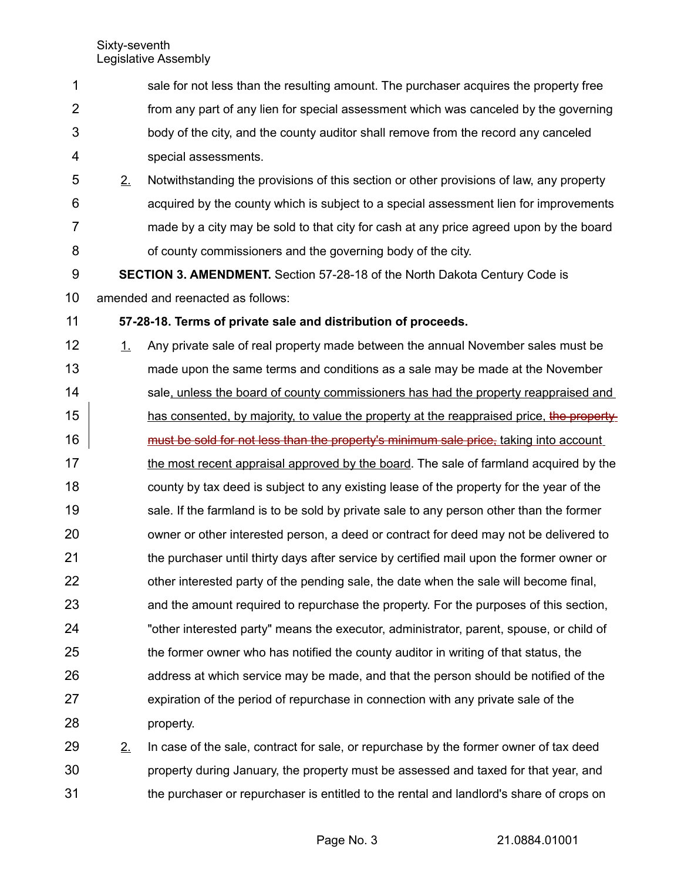| 1              |         | sale for not less than the resulting amount. The purchaser acquires the property free          |
|----------------|---------|------------------------------------------------------------------------------------------------|
| $\overline{2}$ |         | from any part of any lien for special assessment which was canceled by the governing           |
| 3              |         | body of the city, and the county auditor shall remove from the record any canceled             |
| 4              |         | special assessments.                                                                           |
| 5              | 2.      | Notwithstanding the provisions of this section or other provisions of law, any property        |
| 6              |         | acquired by the county which is subject to a special assessment lien for improvements          |
| $\overline{7}$ |         | made by a city may be sold to that city for cash at any price agreed upon by the board         |
| 8              |         | of county commissioners and the governing body of the city.                                    |
| 9              |         | <b>SECTION 3. AMENDMENT.</b> Section 57-28-18 of the North Dakota Century Code is              |
| 10             |         | amended and reenacted as follows:                                                              |
| 11             |         | 57-28-18. Terms of private sale and distribution of proceeds.                                  |
| 12             | $\perp$ | Any private sale of real property made between the annual November sales must be               |
| 13             |         | made upon the same terms and conditions as a sale may be made at the November                  |
| 14             |         | sale, unless the board of county commissioners has had the property reappraised and            |
| 15             |         | has consented, by majority, to value the property at the reappraised price, the property       |
| 16             |         | must be sold for not less than the property's minimum sale price, taking into account          |
| 17             |         | the most recent appraisal approved by the board. The sale of farmland acquired by the          |
| 18             |         | county by tax deed is subject to any existing lease of the property for the year of the        |
| 19             |         | sale. If the farmland is to be sold by private sale to any person other than the former        |
| 20             |         | owner or other interested person, a deed or contract for deed may not be delivered to          |
| 21             |         | the purchaser until thirty days after service by certified mail upon the former owner or       |
| 22             |         | other interested party of the pending sale, the date when the sale will become final,          |
| 23             |         | and the amount required to repurchase the property. For the purposes of this section,          |
| 24             |         | "other interested party" means the executor, administrator, parent, spouse, or child of        |
| 25             |         | the former owner who has notified the county auditor in writing of that status, the            |
| 26             |         | address at which service may be made, and that the person should be notified of the            |
| 27             |         | expiration of the period of repurchase in connection with any private sale of the              |
| 28             |         | property.                                                                                      |
| 29             | 2.      | In case of the sale, contract for sale, or repurchase by the former owner of tax deed          |
| 30.            |         | hope that year and the besesses ad teum ytheory of the unit year and the property during views |

property during January, the property must be assessed and taxed for that year, and the purchaser or repurchaser is entitled to the rental and landlord's share of crops on 30 31